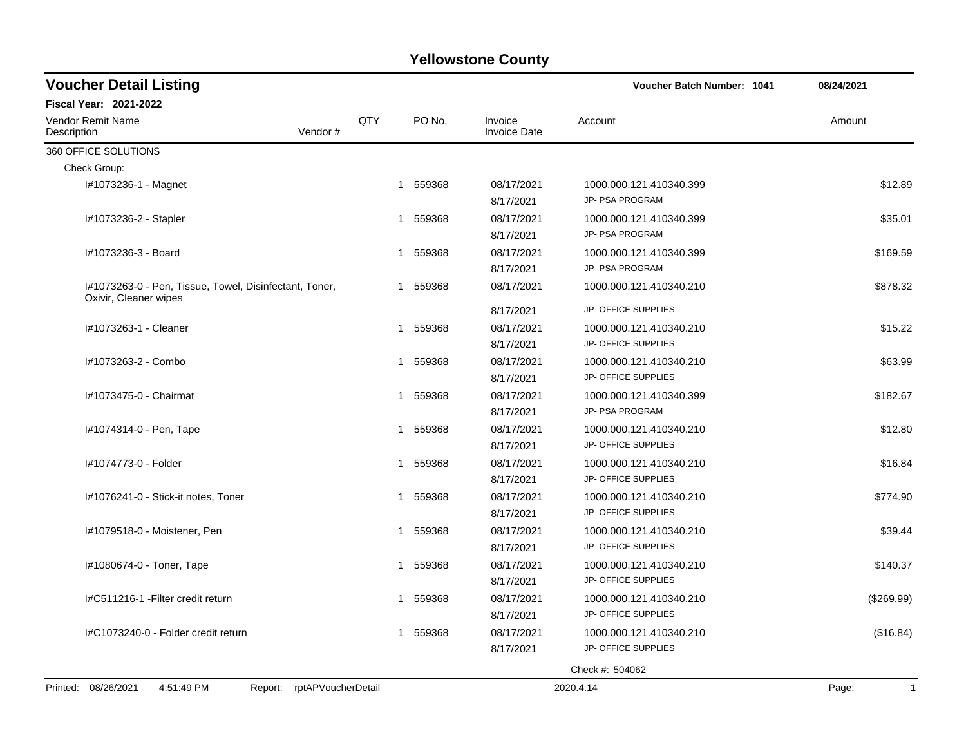| <b>Voucher Detail Listing</b>                                                   |     |                        |                                | <b>Voucher Batch Number: 1041</b>              | 08/24/2021            |
|---------------------------------------------------------------------------------|-----|------------------------|--------------------------------|------------------------------------------------|-----------------------|
| <b>Fiscal Year: 2021-2022</b>                                                   |     |                        |                                |                                                |                       |
| Vendor Remit Name<br>Vendor#<br>Description                                     | QTY | PO No.                 | Invoice<br><b>Invoice Date</b> | Account                                        | Amount                |
| 360 OFFICE SOLUTIONS                                                            |     |                        |                                |                                                |                       |
| Check Group:                                                                    |     |                        |                                |                                                |                       |
| I#1073236-1 - Magnet                                                            |     | 559368<br>1            | 08/17/2021<br>8/17/2021        | 1000.000.121.410340.399<br>JP- PSA PROGRAM     | \$12.89               |
| #1073236-2 - Stapler                                                            |     | 1 559368               | 08/17/2021<br>8/17/2021        | 1000.000.121.410340.399<br>JP- PSA PROGRAM     | \$35.01               |
| #1073236-3 - Board                                                              |     | 1 559368               | 08/17/2021<br>8/17/2021        | 1000.000.121.410340.399<br>JP- PSA PROGRAM     | \$169.59              |
| I#1073263-0 - Pen, Tissue, Towel, Disinfectant, Toner,<br>Oxivir, Cleaner wipes |     | 1 559368               | 08/17/2021                     | 1000.000.121.410340.210                        | \$878.32              |
|                                                                                 |     |                        | 8/17/2021                      | JP- OFFICE SUPPLIES                            |                       |
| I#1073263-1 - Cleaner                                                           |     | 1 559368               | 08/17/2021<br>8/17/2021        | 1000.000.121.410340.210<br>JP- OFFICE SUPPLIES | \$15.22               |
| I#1073263-2 - Combo                                                             |     | 1 559368               | 08/17/2021<br>8/17/2021        | 1000.000.121.410340.210<br>JP- OFFICE SUPPLIES | \$63.99               |
| I#1073475-0 - Chairmat                                                          |     | 1 559368               | 08/17/2021<br>8/17/2021        | 1000.000.121.410340.399<br>JP- PSA PROGRAM     | \$182.67              |
| I#1074314-0 - Pen, Tape                                                         |     | 1 559368               | 08/17/2021<br>8/17/2021        | 1000.000.121.410340.210<br>JP- OFFICE SUPPLIES | \$12.80               |
| I#1074773-0 - Folder                                                            |     | 559368<br>$\mathbf{1}$ | 08/17/2021<br>8/17/2021        | 1000.000.121.410340.210<br>JP- OFFICE SUPPLIES | \$16.84               |
| I#1076241-0 - Stick-it notes, Toner                                             |     | 559368<br>1            | 08/17/2021<br>8/17/2021        | 1000.000.121.410340.210<br>JP- OFFICE SUPPLIES | \$774.90              |
| I#1079518-0 - Moistener, Pen                                                    | 1   | 559368                 | 08/17/2021<br>8/17/2021        | 1000.000.121.410340.210<br>JP- OFFICE SUPPLIES | \$39.44               |
| I#1080674-0 - Toner, Tape                                                       |     | 1 559368               | 08/17/2021<br>8/17/2021        | 1000.000.121.410340.210<br>JP- OFFICE SUPPLIES | \$140.37              |
| I#C511216-1 - Filter credit return                                              |     | 559368<br>1            | 08/17/2021<br>8/17/2021        | 1000.000.121.410340.210<br>JP- OFFICE SUPPLIES | (\$269.99)            |
| I#C1073240-0 - Folder credit return                                             |     | 559368<br>1            | 08/17/2021<br>8/17/2021        | 1000.000.121.410340.210<br>JP- OFFICE SUPPLIES | (\$16.84)             |
|                                                                                 |     |                        |                                | Check #: 504062                                |                       |
| Report: rptAPVoucherDetail<br>Printed: 08/26/2021<br>4:51:49 PM                 |     |                        |                                | 2020.4.14                                      | Page:<br>$\mathbf{1}$ |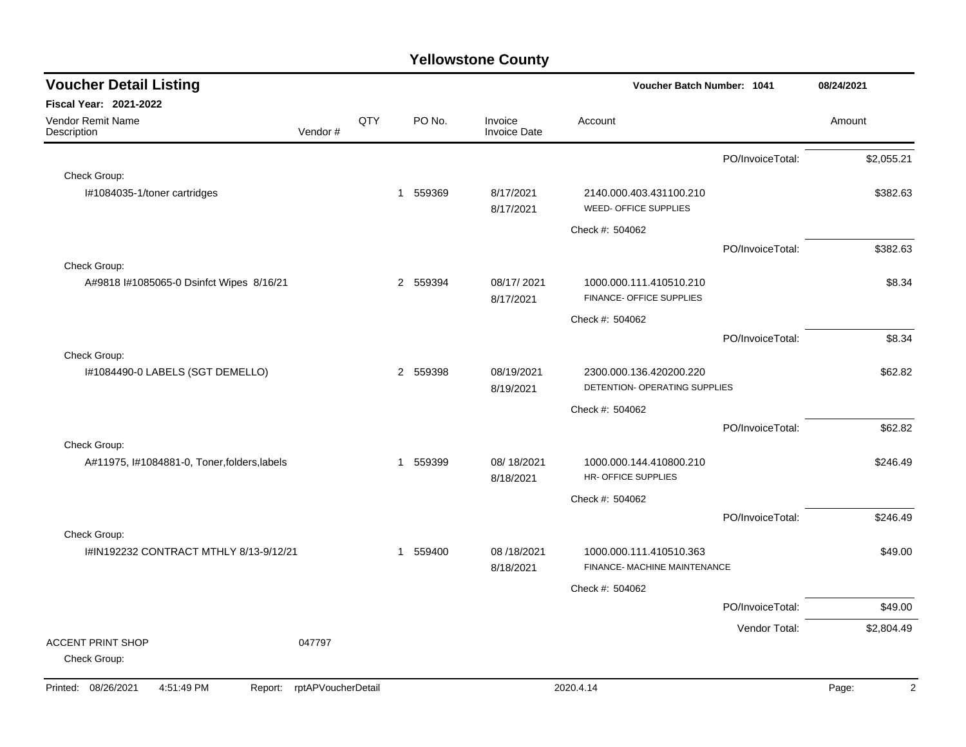| <b>Fiscal Year: 2021-2022</b>                                                                                                               |                         |
|---------------------------------------------------------------------------------------------------------------------------------------------|-------------------------|
|                                                                                                                                             |                         |
| QTY<br>PO No.<br><b>Vendor Remit Name</b><br>Invoice<br>Account<br>Vendor#<br><b>Invoice Date</b><br>Description                            | Amount                  |
| PO/InvoiceTotal:                                                                                                                            | \$2,055.21              |
| Check Group:                                                                                                                                |                         |
| I#1084035-1/toner cartridges<br>559369<br>8/17/2021<br>2140.000.403.431100.210<br>1<br>WEED- OFFICE SUPPLIES<br>8/17/2021                   | \$382.63                |
| Check #: 504062                                                                                                                             |                         |
| PO/InvoiceTotal:                                                                                                                            | \$382.63                |
| Check Group:                                                                                                                                |                         |
| 2 559394<br>08/17/2021<br>A#9818 l#1085065-0 Dsinfct Wipes 8/16/21<br>1000.000.111.410510.210<br>FINANCE- OFFICE SUPPLIES<br>8/17/2021      | \$8.34                  |
| Check #: 504062                                                                                                                             |                         |
| PO/InvoiceTotal:                                                                                                                            | \$8.34                  |
| Check Group:                                                                                                                                |                         |
| I#1084490-0 LABELS (SGT DEMELLO)<br>2 559398<br>08/19/2021<br>2300.000.136.420200.220<br>DETENTION- OPERATING SUPPLIES<br>8/19/2021         | \$62.82                 |
| Check #: 504062                                                                                                                             |                         |
| PO/InvoiceTotal:                                                                                                                            | \$62.82                 |
| Check Group:                                                                                                                                |                         |
| A#11975, I#1084881-0, Toner, folders, labels<br>559399<br>08/18/2021<br>1000.000.144.410800.210<br>1<br>HR- OFFICE SUPPLIES<br>8/18/2021    | \$246.49                |
| Check #: 504062                                                                                                                             |                         |
| PO/InvoiceTotal:                                                                                                                            | \$246.49                |
| Check Group:                                                                                                                                |                         |
| I#IN192232 CONTRACT MTHLY 8/13-9/12/21<br>559400<br>08/18/2021<br>1000.000.111.410510.363<br>1<br>FINANCE- MACHINE MAINTENANCE<br>8/18/2021 | \$49.00                 |
| Check #: 504062                                                                                                                             |                         |
| PO/InvoiceTotal:                                                                                                                            | \$49.00                 |
| Vendor Total:                                                                                                                               | \$2,804.49              |
| <b>ACCENT PRINT SHOP</b><br>047797<br>Check Group:                                                                                          |                         |
| Printed: 08/26/2021<br>4:51:49 PM<br>rptAPVoucherDetail<br>2020.4.14<br>Report:                                                             | $\overline{2}$<br>Page: |

a.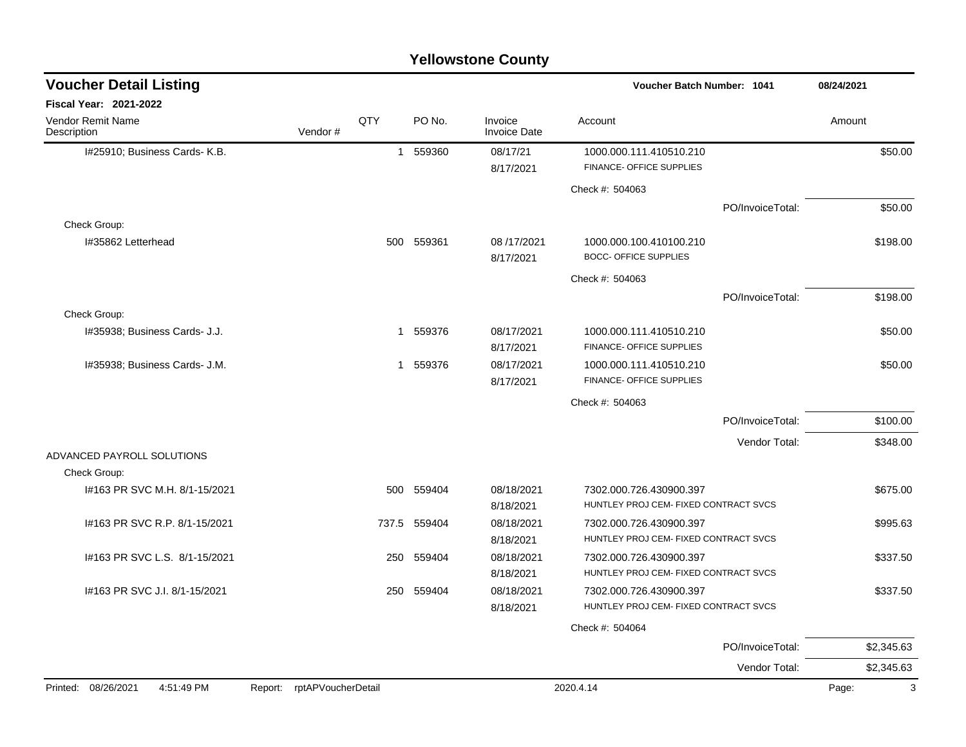| <b>Voucher Detail Listing</b>     |                            |              |        |                                | Voucher Batch Number: 1041                                       |                  | 08/24/2021 |
|-----------------------------------|----------------------------|--------------|--------|--------------------------------|------------------------------------------------------------------|------------------|------------|
| <b>Fiscal Year: 2021-2022</b>     |                            |              |        |                                |                                                                  |                  |            |
| Vendor Remit Name<br>Description  | Vendor#                    | QTY          | PO No. | Invoice<br><b>Invoice Date</b> | Account                                                          |                  | Amount     |
| I#25910; Business Cards- K.B.     |                            | $\mathbf{1}$ | 559360 | 08/17/21<br>8/17/2021          | 1000.000.111.410510.210<br>FINANCE- OFFICE SUPPLIES              |                  | \$50.00    |
|                                   |                            |              |        |                                | Check #: 504063                                                  |                  |            |
|                                   |                            |              |        |                                |                                                                  | PO/InvoiceTotal: | \$50.00    |
| Check Group:                      |                            |              |        |                                |                                                                  |                  |            |
| I#35862 Letterhead                |                            | 500          | 559361 | 08/17/2021<br>8/17/2021        | 1000.000.100.410100.210<br><b>BOCC- OFFICE SUPPLIES</b>          |                  | \$198.00   |
|                                   |                            |              |        |                                | Check #: 504063                                                  |                  |            |
|                                   |                            |              |        |                                |                                                                  | PO/InvoiceTotal: | \$198.00   |
| Check Group:                      |                            |              |        |                                |                                                                  |                  |            |
| I#35938; Business Cards- J.J.     |                            | $\mathbf{1}$ | 559376 | 08/17/2021                     | 1000.000.111.410510.210                                          |                  | \$50.00    |
|                                   |                            |              |        | 8/17/2021                      | FINANCE- OFFICE SUPPLIES                                         |                  |            |
| 1#35938; Business Cards- J.M.     |                            | $\mathbf{1}$ | 559376 | 08/17/2021<br>8/17/2021        | 1000.000.111.410510.210<br>FINANCE- OFFICE SUPPLIES              |                  | \$50.00    |
|                                   |                            |              |        |                                | Check #: 504063                                                  |                  |            |
|                                   |                            |              |        |                                |                                                                  | PO/InvoiceTotal: | \$100.00   |
|                                   |                            |              |        |                                |                                                                  | Vendor Total:    | \$348.00   |
| ADVANCED PAYROLL SOLUTIONS        |                            |              |        |                                |                                                                  |                  |            |
| Check Group:                      |                            |              |        |                                |                                                                  |                  |            |
| #163 PR SVC M.H. 8/1-15/2021      |                            | 500          | 559404 | 08/18/2021<br>8/18/2021        | 7302.000.726.430900.397<br>HUNTLEY PROJ CEM- FIXED CONTRACT SVCS |                  | \$675.00   |
| #163 PR SVC R.P. 8/1-15/2021      |                            | 737.5        | 559404 | 08/18/2021                     | 7302.000.726.430900.397                                          |                  | \$995.63   |
|                                   |                            |              |        | 8/18/2021                      | HUNTLEY PROJ CEM- FIXED CONTRACT SVCS                            |                  |            |
| #163 PR SVC L.S. 8/1-15/2021      |                            | 250          | 559404 | 08/18/2021                     | 7302.000.726.430900.397                                          |                  | \$337.50   |
|                                   |                            |              |        | 8/18/2021                      | HUNTLEY PROJ CEM- FIXED CONTRACT SVCS                            |                  |            |
| I#163 PR SVC J.I. 8/1-15/2021     |                            | 250          | 559404 | 08/18/2021                     | 7302.000.726.430900.397                                          |                  | \$337.50   |
|                                   |                            |              |        | 8/18/2021                      | HUNTLEY PROJ CEM- FIXED CONTRACT SVCS                            |                  |            |
|                                   |                            |              |        |                                | Check #: 504064                                                  |                  |            |
|                                   |                            |              |        |                                |                                                                  | PO/InvoiceTotal: | \$2,345.63 |
|                                   |                            |              |        |                                |                                                                  | Vendor Total:    | \$2,345.63 |
| Printed: 08/26/2021<br>4:51:49 PM | Report: rptAPVoucherDetail |              |        |                                | 2020.4.14                                                        |                  | 3<br>Page: |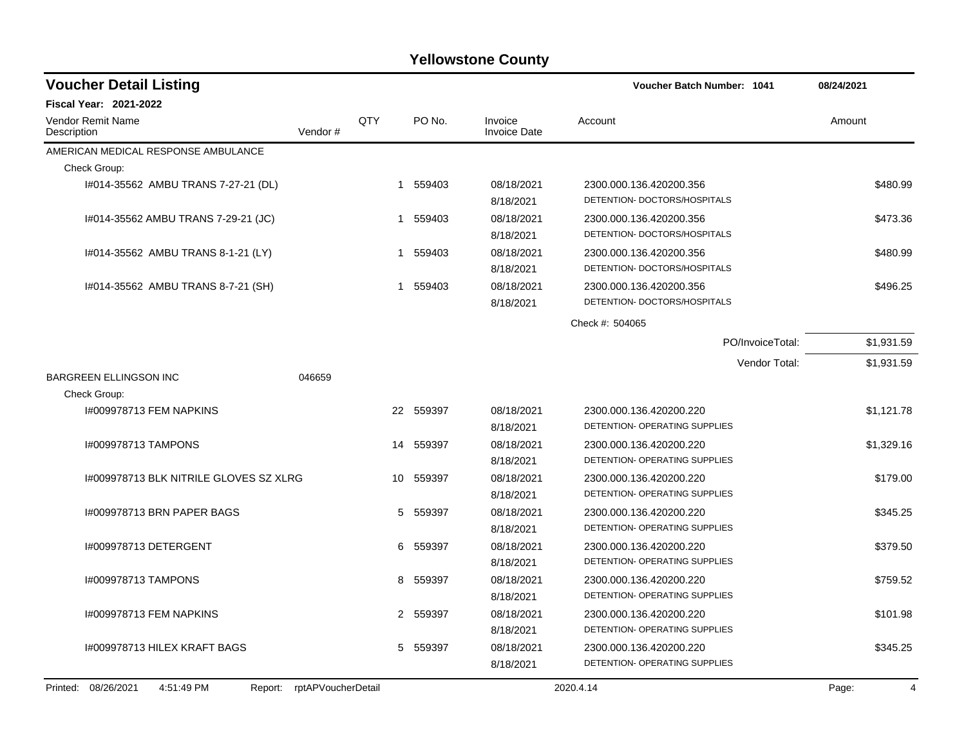| <b>Voucher Detail Listing</b>                   |                    |              |           |                                | Voucher Batch Number: 1041                               | 08/24/2021              |
|-------------------------------------------------|--------------------|--------------|-----------|--------------------------------|----------------------------------------------------------|-------------------------|
| <b>Fiscal Year: 2021-2022</b>                   |                    |              |           |                                |                                                          |                         |
| <b>Vendor Remit Name</b><br>Description         | Vendor#            | QTY          | PO No.    | Invoice<br><b>Invoice Date</b> | Account                                                  | Amount                  |
| AMERICAN MEDICAL RESPONSE AMBULANCE             |                    |              |           |                                |                                                          |                         |
| Check Group:                                    |                    |              |           |                                |                                                          |                         |
| 1#014-35562 AMBU TRANS 7-27-21 (DL)             |                    | $\mathbf{1}$ | 559403    | 08/18/2021<br>8/18/2021        | 2300.000.136.420200.356<br>DETENTION- DOCTORS/HOSPITALS  | \$480.99                |
| 1#014-35562 AMBU TRANS 7-29-21 (JC)             |                    | 1            | 559403    | 08/18/2021<br>8/18/2021        | 2300.000.136.420200.356<br>DETENTION- DOCTORS/HOSPITALS  | \$473.36                |
| 1#014-35562 AMBU TRANS 8-1-21 (LY)              |                    | 1            | 559403    | 08/18/2021<br>8/18/2021        | 2300.000.136.420200.356<br>DETENTION- DOCTORS/HOSPITALS  | \$480.99                |
| 1#014-35562 AMBU TRANS 8-7-21 (SH)              |                    | 1            | 559403    | 08/18/2021<br>8/18/2021        | 2300.000.136.420200.356<br>DETENTION- DOCTORS/HOSPITALS  | \$496.25                |
|                                                 |                    |              |           |                                | Check #: 504065                                          |                         |
|                                                 |                    |              |           |                                | PO/InvoiceTotal:                                         | \$1,931.59              |
|                                                 |                    |              |           |                                | Vendor Total:                                            | \$1,931.59              |
| <b>BARGREEN ELLINGSON INC</b>                   | 046659             |              |           |                                |                                                          |                         |
| Check Group:                                    |                    |              |           |                                |                                                          |                         |
| 1#009978713 FEM NAPKINS                         |                    |              | 22 559397 | 08/18/2021                     | 2300.000.136.420200.220                                  | \$1,121.78              |
|                                                 |                    |              |           | 8/18/2021                      | DETENTION- OPERATING SUPPLIES                            |                         |
| 1#009978713 TAMPONS                             |                    | 14           | 559397    | 08/18/2021<br>8/18/2021        | 2300.000.136.420200.220<br>DETENTION- OPERATING SUPPLIES | \$1,329.16              |
| 1#009978713 BLK NITRILE GLOVES SZ XLRG          |                    | 10           | 559397    | 08/18/2021<br>8/18/2021        | 2300.000.136.420200.220<br>DETENTION- OPERATING SUPPLIES | \$179.00                |
| 1#009978713 BRN PAPER BAGS                      |                    | 5            | 559397    | 08/18/2021<br>8/18/2021        | 2300.000.136.420200.220<br>DETENTION- OPERATING SUPPLIES | \$345.25                |
| 1#009978713 DETERGENT                           |                    | 6            | 559397    | 08/18/2021<br>8/18/2021        | 2300.000.136.420200.220<br>DETENTION- OPERATING SUPPLIES | \$379.50                |
| 1#009978713 TAMPONS                             |                    | 8            | 559397    | 08/18/2021<br>8/18/2021        | 2300.000.136.420200.220<br>DETENTION- OPERATING SUPPLIES | \$759.52                |
| 1#009978713 FEM NAPKINS                         |                    |              | 2 559397  | 08/18/2021<br>8/18/2021        | 2300.000.136.420200.220<br>DETENTION- OPERATING SUPPLIES | \$101.98                |
| I#009978713 HILEX KRAFT BAGS                    |                    | 5            | 559397    | 08/18/2021<br>8/18/2021        | 2300.000.136.420200.220<br>DETENTION- OPERATING SUPPLIES | \$345.25                |
| Printed:<br>08/26/2021<br>4:51:49 PM<br>Report: | rptAPVoucherDetail |              |           |                                | 2020.4.14                                                | Page:<br>$\overline{4}$ |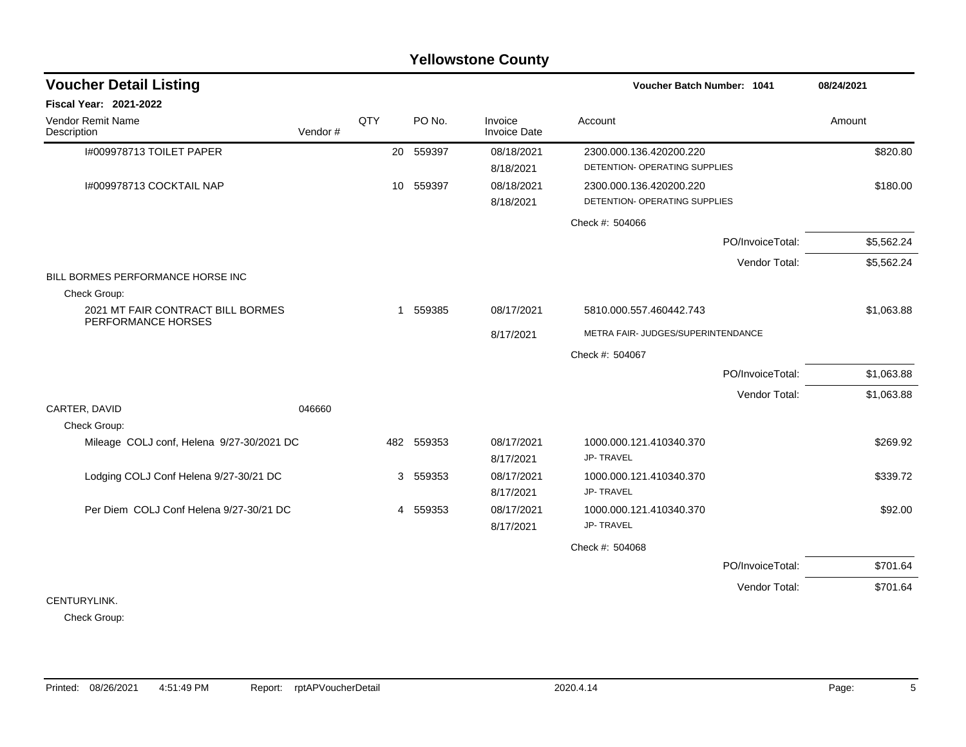### I#009978713 TOILET PAPER 20 559397 08/18/2021 2300.000.136.420200.220 \$820.80 8/18/2021 DETENTION- OPERATING SUPPLIES I#009978713 COCKTAIL NAP 10 559397 10 559397 08/18/2021 2300.000.136.420200.220 8/18/2021 DETENTION- OPERATING SUPPLIES Check #: 504066 PO/InvoiceTotal: \$5,562.24 Vendor Total: \$5,562.24 BILL BORMES PERFORMANCE HORSE INC Check Group: 2021 MT FAIR CONTRACT BILL BORMES PERFORMANCE HORSES 1 559385 08/17/2021 5810.000.557.460442.743 \$1,063.88 8/17/2021 METRA FAIR- JUDGES/SUPERINTENDANCE Check #: 504067 PO/InvoiceTotal: \$1,063.88 Vendor Total: \$1,063.88 CARTER, DAVID 046660 Check Group: Mileage COLJ conf, Helena 9/27-30/2021 DC 482 559353 08/17/2021 1000.000.121.410340.370 \$269.92 8/17/2021 JP- TRAVEL Lodging COLJ Conf Helena 9/27-30/21 DC 3 559353 08/17/2021 1000.000.121.410340.370 \$339.72 8/17/2021 JP- TRAVEL Per Diem COLJ Conf Helena 9/27-30/21 DC  $\begin{array}{cccc} 4 & 559353 & 08/17/2021 & 1000.000.121.410340.370 \end{array}$  \$92.00 8/17/2021 JP- TRAVEL Check #: 504068 PO/InvoiceTotal: \$701.64 Vendor Total: \$701.64 CENTURYLINK. **Voucher Batch Number: Yellowstone County** Vendor Remit Name **Description Voucher Detail Listing Fiscal Year: 2021-2022 1041 08/24/2021** PO No. Invoice Account Amount Amount Amount Amount Vendor # **QTY** Invoice Date

Check Group: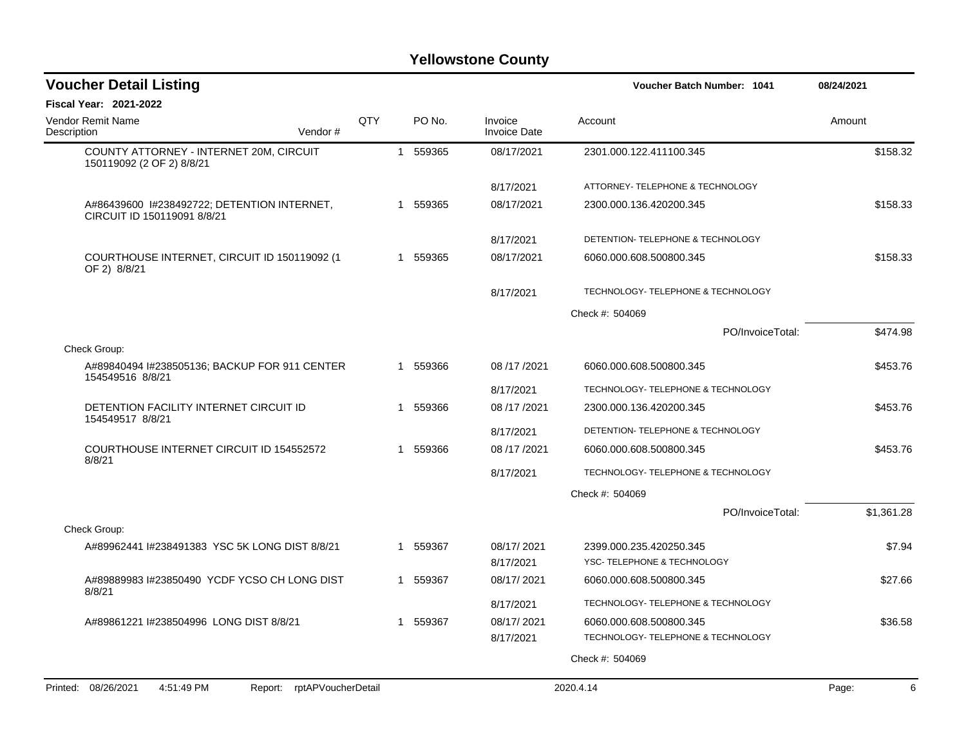| <b>Voucher Detail Listing</b>                                              |            |   |          |                                | Voucher Batch Number: 1041         | 08/24/2021 |
|----------------------------------------------------------------------------|------------|---|----------|--------------------------------|------------------------------------|------------|
| <b>Fiscal Year: 2021-2022</b>                                              |            |   |          |                                |                                    |            |
| <b>Vendor Remit Name</b><br>Description<br>Vendor#                         | <b>QTY</b> |   | PO No.   | Invoice<br><b>Invoice Date</b> | Account                            | Amount     |
| COUNTY ATTORNEY - INTERNET 20M, CIRCUIT<br>150119092 (2 OF 2) 8/8/21       |            |   | 1 559365 | 08/17/2021                     | 2301.000.122.411100.345            | \$158.32   |
|                                                                            |            |   |          | 8/17/2021                      | ATTORNEY- TELEPHONE & TECHNOLOGY   |            |
| A#86439600 1#238492722; DETENTION INTERNET,<br>CIRCUIT ID 150119091 8/8/21 |            | 1 | 559365   | 08/17/2021                     | 2300.000.136.420200.345            | \$158.33   |
|                                                                            |            |   |          | 8/17/2021                      | DETENTION- TELEPHONE & TECHNOLOGY  |            |
| COURTHOUSE INTERNET, CIRCUIT ID 150119092 (1<br>OF 2) 8/8/21               |            | 1 | 559365   | 08/17/2021                     | 6060.000.608.500800.345            | \$158.33   |
|                                                                            |            |   |          | 8/17/2021                      | TECHNOLOGY- TELEPHONE & TECHNOLOGY |            |
|                                                                            |            |   |          |                                | Check #: 504069                    |            |
|                                                                            |            |   |          |                                | PO/InvoiceTotal:                   | \$474.98   |
| Check Group:                                                               |            |   |          |                                |                                    |            |
| A#89840494 I#238505136; BACKUP FOR 911 CENTER<br>154549516 8/8/21          |            | 1 | 559366   | 08/17/2021                     | 6060.000.608.500800.345            | \$453.76   |
|                                                                            |            |   |          | 8/17/2021                      | TECHNOLOGY- TELEPHONE & TECHNOLOGY |            |
| DETENTION FACILITY INTERNET CIRCUIT ID<br>154549517 8/8/21                 |            | 1 | 559366   | 08/17/2021                     | 2300.000.136.420200.345            | \$453.76   |
|                                                                            |            |   |          | 8/17/2021                      | DETENTION- TELEPHONE & TECHNOLOGY  |            |
| COURTHOUSE INTERNET CIRCUIT ID 154552572<br>8/8/21                         |            | 1 | 559366   | 08 /17 /2021                   | 6060.000.608.500800.345            | \$453.76   |
|                                                                            |            |   |          | 8/17/2021                      | TECHNOLOGY- TELEPHONE & TECHNOLOGY |            |
|                                                                            |            |   |          |                                | Check #: 504069                    |            |
|                                                                            |            |   |          |                                | PO/InvoiceTotal:                   | \$1,361.28 |
| Check Group:                                                               |            |   |          |                                |                                    |            |
| A#89962441 I#238491383 YSC 5K LONG DIST 8/8/21                             |            | 1 | 559367   | 08/17/2021                     | 2399.000.235.420250.345            | \$7.94     |
|                                                                            |            |   |          | 8/17/2021                      | YSC- TELEPHONE & TECHNOLOGY        |            |
| A#89889983 I#23850490 YCDF YCSO CH LONG DIST<br>8/8/21                     |            |   | 559367   | 08/17/2021                     | 6060.000.608.500800.345            | \$27.66    |
|                                                                            |            |   |          | 8/17/2021                      | TECHNOLOGY- TELEPHONE & TECHNOLOGY |            |
| A#89861221 I#238504996 LONG DIST 8/8/21                                    |            | 1 | 559367   | 08/17/2021                     | 6060.000.608.500800.345            | \$36.58    |
|                                                                            |            |   |          | 8/17/2021                      | TECHNOLOGY- TELEPHONE & TECHNOLOGY |            |
|                                                                            |            |   |          |                                | Check #: 504069                    |            |
| Printed: 08/26/2021<br>4:51:49 PM<br>Report: rptAPVoucherDetail            |            |   |          |                                | 2020.4.14                          | Page:<br>6 |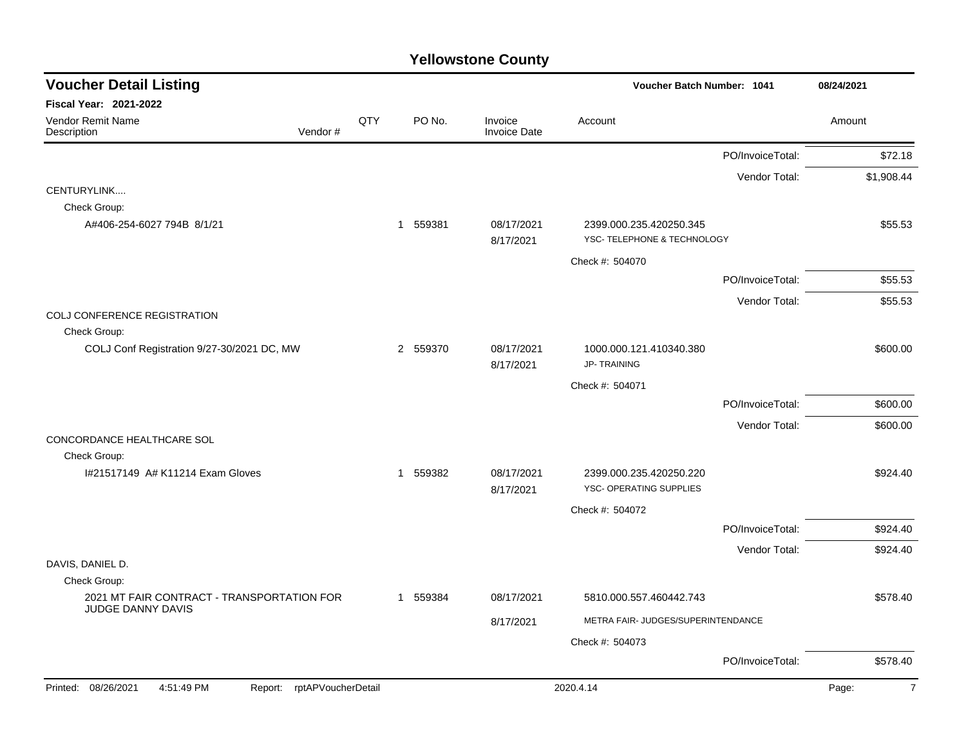| <b>Voucher Detail Listing</b>                                   |     |                        |                                | Voucher Batch Number: 1041                             |                  | 08/24/2021              |
|-----------------------------------------------------------------|-----|------------------------|--------------------------------|--------------------------------------------------------|------------------|-------------------------|
| <b>Fiscal Year: 2021-2022</b>                                   |     |                        |                                |                                                        |                  |                         |
| Vendor Remit Name<br>Vendor#<br>Description                     | QTY | PO No.                 | Invoice<br><b>Invoice Date</b> | Account                                                |                  | Amount                  |
|                                                                 |     |                        |                                |                                                        | PO/InvoiceTotal: | \$72.18                 |
|                                                                 |     |                        |                                |                                                        | Vendor Total:    | \$1,908.44              |
| CENTURYLINK                                                     |     |                        |                                |                                                        |                  |                         |
| Check Group:                                                    |     |                        |                                |                                                        |                  |                         |
| A#406-254-6027 794B 8/1/21                                      |     | 559381<br>$\mathbf{1}$ | 08/17/2021<br>8/17/2021        | 2399.000.235.420250.345<br>YSC- TELEPHONE & TECHNOLOGY |                  | \$55.53                 |
|                                                                 |     |                        |                                | Check #: 504070                                        |                  |                         |
|                                                                 |     |                        |                                |                                                        | PO/InvoiceTotal: | \$55.53                 |
|                                                                 |     |                        |                                |                                                        | Vendor Total:    | \$55.53                 |
| COLJ CONFERENCE REGISTRATION                                    |     |                        |                                |                                                        |                  |                         |
| Check Group:                                                    |     |                        |                                |                                                        |                  |                         |
| COLJ Conf Registration 9/27-30/2021 DC, MW                      |     | 2 559370               | 08/17/2021<br>8/17/2021        | 1000.000.121.410340.380<br><b>JP-TRAINING</b>          |                  | \$600.00                |
|                                                                 |     |                        |                                | Check #: 504071                                        |                  |                         |
|                                                                 |     |                        |                                |                                                        | PO/InvoiceTotal: | \$600.00                |
|                                                                 |     |                        |                                |                                                        | Vendor Total:    | \$600.00                |
| CONCORDANCE HEALTHCARE SOL                                      |     |                        |                                |                                                        |                  |                         |
| Check Group:                                                    |     |                        |                                |                                                        |                  |                         |
| 1#21517149 A# K11214 Exam Gloves                                |     | 1 559382               | 08/17/2021<br>8/17/2021        | 2399.000.235.420250.220<br>YSC- OPERATING SUPPLIES     |                  | \$924.40                |
|                                                                 |     |                        |                                | Check #: 504072                                        |                  |                         |
|                                                                 |     |                        |                                |                                                        | PO/InvoiceTotal: | \$924.40                |
|                                                                 |     |                        |                                |                                                        | Vendor Total:    | \$924.40                |
| DAVIS, DANIEL D.                                                |     |                        |                                |                                                        |                  |                         |
| Check Group:                                                    |     |                        |                                |                                                        |                  |                         |
| 2021 MT FAIR CONTRACT - TRANSPORTATION FOR<br>JUDGE DANNY DAVIS |     | 1 559384               | 08/17/2021                     | 5810.000.557.460442.743                                |                  | \$578.40                |
|                                                                 |     |                        | 8/17/2021                      | METRA FAIR- JUDGES/SUPERINTENDANCE                     |                  |                         |
|                                                                 |     |                        |                                | Check #: 504073                                        |                  |                         |
|                                                                 |     |                        |                                |                                                        | PO/InvoiceTotal: | \$578.40                |
| Printed: 08/26/2021<br>Report: rptAPVoucherDetail<br>4:51:49 PM |     |                        |                                | 2020.4.14                                              |                  | Page:<br>$\overline{7}$ |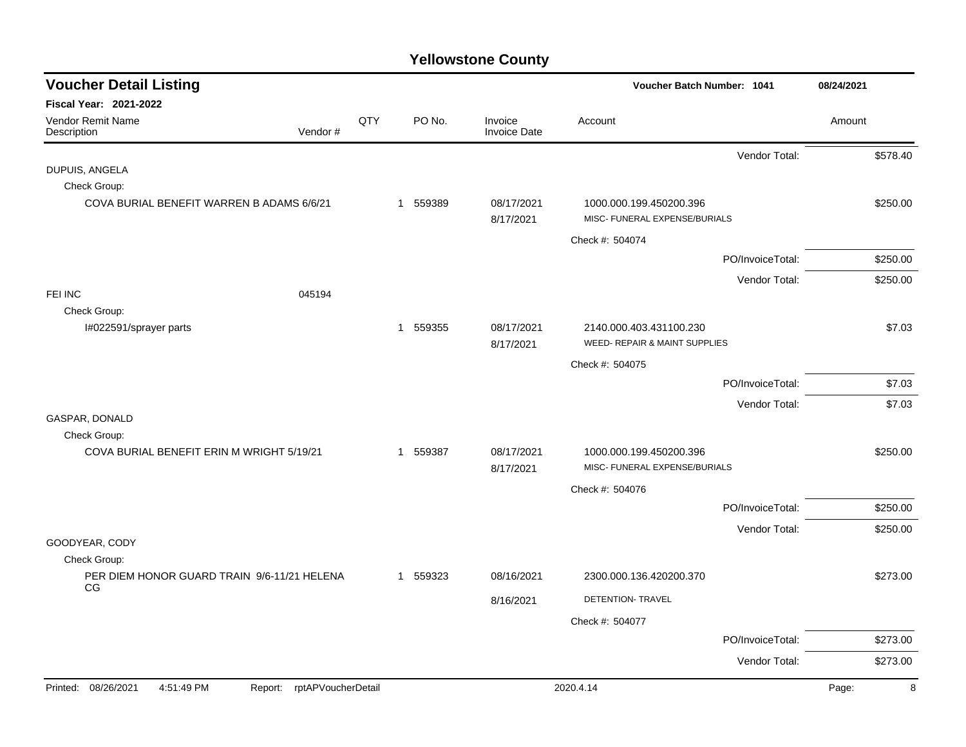| <b>Voucher Detail Listing</b>                     |                               |     |             |                                | Voucher Batch Number: 1041                                          |                  | 08/24/2021 |          |
|---------------------------------------------------|-------------------------------|-----|-------------|--------------------------------|---------------------------------------------------------------------|------------------|------------|----------|
| Fiscal Year: 2021-2022                            |                               |     |             |                                |                                                                     |                  |            |          |
| Vendor Remit Name<br>Description                  | Vendor#                       | QTY | PO No.      | Invoice<br><b>Invoice Date</b> | Account                                                             |                  | Amount     |          |
|                                                   |                               |     |             |                                |                                                                     | Vendor Total:    |            | \$578.40 |
| DUPUIS, ANGELA<br>Check Group:                    |                               |     |             |                                |                                                                     |                  |            |          |
| COVA BURIAL BENEFIT WARREN B ADAMS 6/6/21         |                               |     | 1 559389    | 08/17/2021<br>8/17/2021        | 1000.000.199.450200.396<br>MISC- FUNERAL EXPENSE/BURIALS            |                  |            | \$250.00 |
|                                                   |                               |     |             |                                | Check #: 504074                                                     |                  |            |          |
|                                                   |                               |     |             |                                |                                                                     | PO/InvoiceTotal: |            | \$250.00 |
|                                                   |                               |     |             |                                |                                                                     | Vendor Total:    |            | \$250.00 |
| FEI INC                                           | 045194                        |     |             |                                |                                                                     |                  |            |          |
| Check Group:                                      |                               |     |             |                                |                                                                     |                  |            |          |
| I#022591/sprayer parts                            |                               |     | 1 559355    | 08/17/2021<br>8/17/2021        | 2140.000.403.431100.230<br><b>WEED- REPAIR &amp; MAINT SUPPLIES</b> |                  |            | \$7.03   |
|                                                   |                               |     |             |                                | Check #: 504075                                                     |                  |            |          |
|                                                   |                               |     |             |                                |                                                                     | PO/InvoiceTotal: |            | \$7.03   |
|                                                   |                               |     |             |                                |                                                                     | Vendor Total:    |            | \$7.03   |
| GASPAR, DONALD                                    |                               |     |             |                                |                                                                     |                  |            |          |
| Check Group:                                      |                               |     |             |                                |                                                                     |                  |            |          |
| COVA BURIAL BENEFIT ERIN M WRIGHT 5/19/21         |                               |     | 559387<br>1 | 08/17/2021<br>8/17/2021        | 1000.000.199.450200.396<br>MISC- FUNERAL EXPENSE/BURIALS            |                  |            | \$250.00 |
|                                                   |                               |     |             |                                | Check #: 504076                                                     |                  |            |          |
|                                                   |                               |     |             |                                |                                                                     | PO/InvoiceTotal: |            | \$250.00 |
|                                                   |                               |     |             |                                |                                                                     | Vendor Total:    |            | \$250.00 |
| GOODYEAR, CODY                                    |                               |     |             |                                |                                                                     |                  |            |          |
| Check Group:                                      |                               |     |             |                                |                                                                     |                  |            |          |
| PER DIEM HONOR GUARD TRAIN 9/6-11/21 HELENA<br>CG |                               |     | 1 559323    | 08/16/2021                     | 2300.000.136.420200.370                                             |                  |            | \$273.00 |
|                                                   |                               |     |             | 8/16/2021                      | DETENTION- TRAVEL                                                   |                  |            |          |
|                                                   |                               |     |             |                                | Check #: 504077                                                     |                  |            |          |
|                                                   |                               |     |             |                                |                                                                     | PO/InvoiceTotal: |            | \$273.00 |
|                                                   |                               |     |             |                                |                                                                     | Vendor Total:    |            | \$273.00 |
| 08/26/2021<br>4:51:49 PM<br>Printed:              | rptAPVoucherDetail<br>Report: |     |             |                                | 2020.4.14                                                           |                  | Page:      | 8        |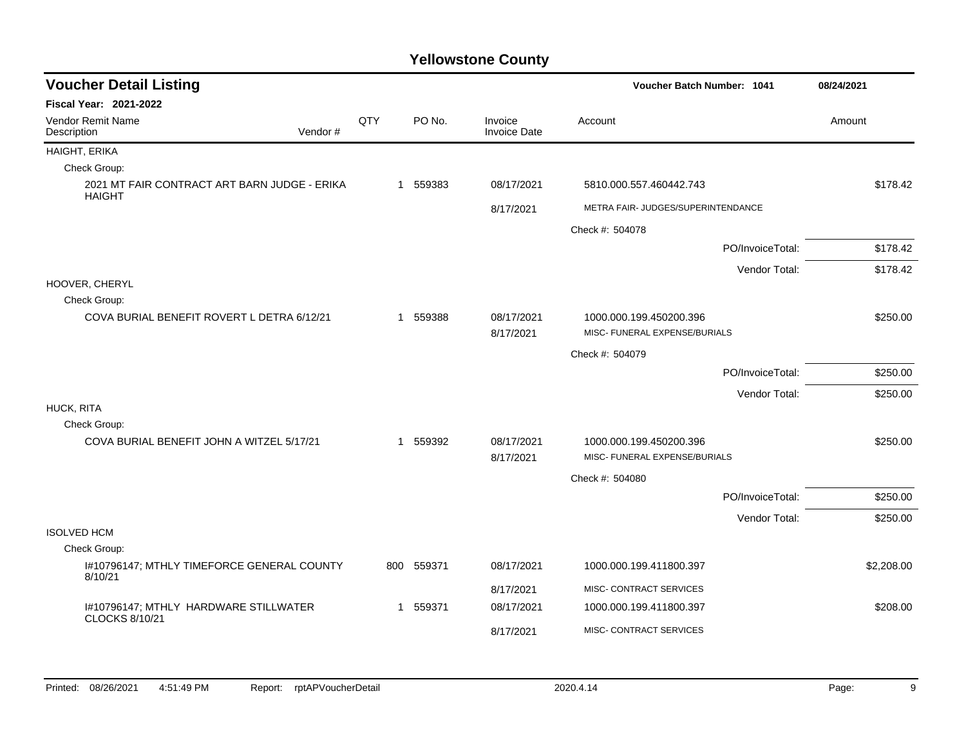| <b>Voucher Detail Listing</b>                                  |         |     |     |          |                         |                         | Voucher Batch Number: 1041         | 08/24/2021 |            |
|----------------------------------------------------------------|---------|-----|-----|----------|-------------------------|-------------------------|------------------------------------|------------|------------|
| <b>Fiscal Year: 2021-2022</b>                                  |         |     |     |          |                         |                         |                                    |            |            |
| Vendor Remit Name<br>Description                               | Vendor# | QTY |     | PO No.   | Invoice<br>Invoice Date | Account                 |                                    | Amount     |            |
| HAIGHT, ERIKA                                                  |         |     |     |          |                         |                         |                                    |            |            |
| Check Group:                                                   |         |     |     |          |                         |                         |                                    |            |            |
| 2021 MT FAIR CONTRACT ART BARN JUDGE - ERIKA<br><b>HAIGHT</b>  |         |     |     | 1 559383 | 08/17/2021              | 5810.000.557.460442.743 |                                    |            | \$178.42   |
|                                                                |         |     |     |          | 8/17/2021               |                         | METRA FAIR- JUDGES/SUPERINTENDANCE |            |            |
|                                                                |         |     |     |          |                         | Check #: 504078         |                                    |            |            |
|                                                                |         |     |     |          |                         |                         | PO/InvoiceTotal:                   |            | \$178.42   |
|                                                                |         |     |     |          |                         |                         | Vendor Total:                      |            | \$178.42   |
| HOOVER, CHERYL                                                 |         |     |     |          |                         |                         |                                    |            |            |
| Check Group:                                                   |         |     |     |          |                         |                         |                                    |            |            |
| COVA BURIAL BENEFIT ROVERT L DETRA 6/12/21                     |         |     | 1   | 559388   | 08/17/2021<br>8/17/2021 | 1000.000.199.450200.396 | MISC- FUNERAL EXPENSE/BURIALS      |            | \$250.00   |
|                                                                |         |     |     |          |                         | Check #: 504079         |                                    |            |            |
|                                                                |         |     |     |          |                         |                         | PO/InvoiceTotal:                   |            | \$250.00   |
|                                                                |         |     |     |          |                         |                         | Vendor Total:                      |            | \$250.00   |
| HUCK, RITA<br>Check Group:                                     |         |     |     |          |                         |                         |                                    |            |            |
| COVA BURIAL BENEFIT JOHN A WITZEL 5/17/21                      |         |     |     | 1 559392 | 08/17/2021              | 1000.000.199.450200.396 |                                    |            | \$250.00   |
|                                                                |         |     |     |          | 8/17/2021               |                         | MISC- FUNERAL EXPENSE/BURIALS      |            |            |
|                                                                |         |     |     |          |                         | Check #: 504080         |                                    |            |            |
|                                                                |         |     |     |          |                         |                         | PO/InvoiceTotal:                   |            | \$250.00   |
|                                                                |         |     |     |          |                         |                         | Vendor Total:                      |            | \$250.00   |
| <b>ISOLVED HCM</b>                                             |         |     |     |          |                         |                         |                                    |            |            |
| Check Group:                                                   |         |     |     |          |                         |                         |                                    |            |            |
| I#10796147; MTHLY TIMEFORCE GENERAL COUNTY<br>8/10/21          |         |     | 800 | 559371   | 08/17/2021              | 1000.000.199.411800.397 |                                    |            | \$2,208.00 |
|                                                                |         |     |     |          | 8/17/2021               | MISC- CONTRACT SERVICES |                                    |            |            |
| I#10796147; MTHLY HARDWARE STILLWATER<br><b>CLOCKS 8/10/21</b> |         |     |     | 1 559371 | 08/17/2021              | 1000.000.199.411800.397 |                                    |            | \$208.00   |
|                                                                |         |     |     |          | 8/17/2021               | MISC- CONTRACT SERVICES |                                    |            |            |
|                                                                |         |     |     |          |                         |                         |                                    |            |            |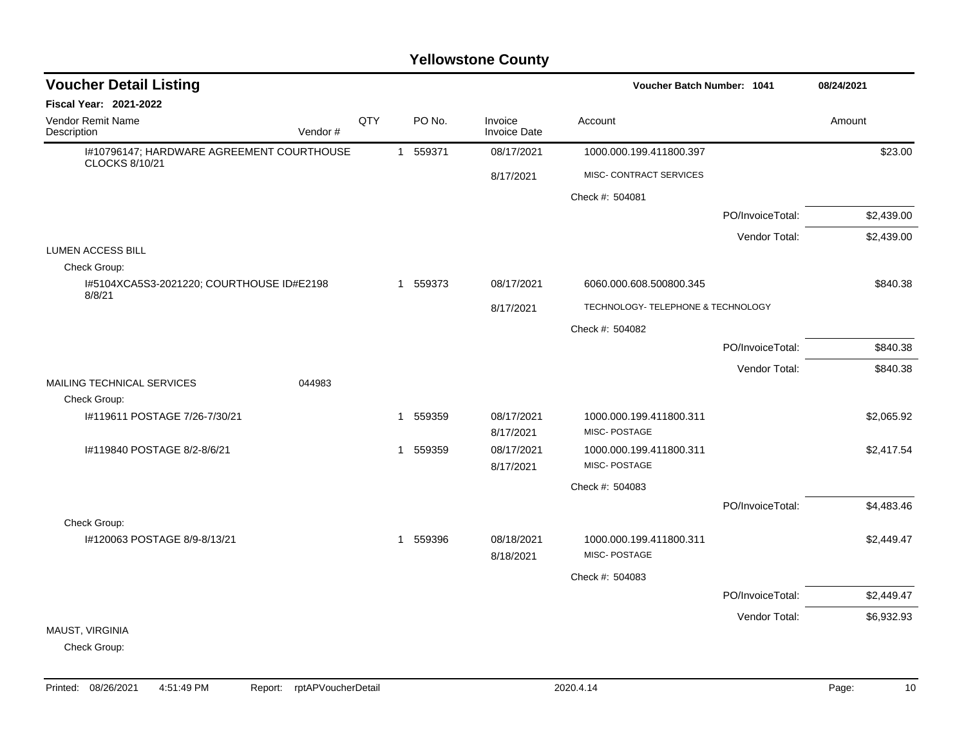| <b>Voucher Detail Listing</b>                                      |          |     |              |          |                                | Voucher Batch Number: 1041              |                  | 08/24/2021 |
|--------------------------------------------------------------------|----------|-----|--------------|----------|--------------------------------|-----------------------------------------|------------------|------------|
| <b>Fiscal Year: 2021-2022</b>                                      |          |     |              |          |                                |                                         |                  |            |
| Vendor Remit Name<br>Description                                   | Vendor # | QTY |              | PO No.   | Invoice<br><b>Invoice Date</b> | Account                                 |                  | Amount     |
| I#10796147; HARDWARE AGREEMENT COURTHOUSE<br><b>CLOCKS 8/10/21</b> |          |     | $\mathbf{1}$ | 559371   | 08/17/2021                     | 1000.000.199.411800.397                 |                  | \$23.00    |
|                                                                    |          |     |              |          | 8/17/2021                      | MISC- CONTRACT SERVICES                 |                  |            |
|                                                                    |          |     |              |          |                                | Check #: 504081                         |                  |            |
|                                                                    |          |     |              |          |                                |                                         | PO/InvoiceTotal: | \$2,439.00 |
|                                                                    |          |     |              |          |                                |                                         | Vendor Total:    | \$2,439.00 |
| <b>LUMEN ACCESS BILL</b><br>Check Group:                           |          |     |              |          |                                |                                         |                  |            |
| I#5104XCA5S3-2021220; COURTHOUSE ID#E2198                          |          |     |              | 1 559373 | 08/17/2021                     | 6060.000.608.500800.345                 |                  | \$840.38   |
| 8/8/21                                                             |          |     |              |          | 8/17/2021                      | TECHNOLOGY- TELEPHONE & TECHNOLOGY      |                  |            |
|                                                                    |          |     |              |          |                                | Check #: 504082                         |                  |            |
|                                                                    |          |     |              |          |                                |                                         | PO/InvoiceTotal: | \$840.38   |
|                                                                    |          |     |              |          |                                |                                         | Vendor Total:    | \$840.38   |
| MAILING TECHNICAL SERVICES                                         | 044983   |     |              |          |                                |                                         |                  |            |
| Check Group:                                                       |          |     |              |          |                                |                                         |                  |            |
| #119611 POSTAGE 7/26-7/30/21                                       |          |     | -1           | 559359   | 08/17/2021<br>8/17/2021        | 1000.000.199.411800.311<br>MISC-POSTAGE |                  | \$2,065.92 |
| I#119840 POSTAGE 8/2-8/6/21                                        |          |     | 1            | 559359   | 08/17/2021                     | 1000.000.199.411800.311                 |                  | \$2,417.54 |
|                                                                    |          |     |              |          | 8/17/2021                      | MISC-POSTAGE                            |                  |            |
|                                                                    |          |     |              |          |                                | Check #: 504083                         |                  |            |
|                                                                    |          |     |              |          |                                |                                         | PO/InvoiceTotal: | \$4,483.46 |
| Check Group:                                                       |          |     |              |          |                                |                                         |                  |            |
| I#120063 POSTAGE 8/9-8/13/21                                       |          |     | $\mathbf 1$  | 559396   | 08/18/2021<br>8/18/2021        | 1000.000.199.411800.311<br>MISC-POSTAGE |                  | \$2,449.47 |
|                                                                    |          |     |              |          |                                | Check #: 504083                         |                  |            |
|                                                                    |          |     |              |          |                                |                                         | PO/InvoiceTotal: | \$2,449.47 |
|                                                                    |          |     |              |          |                                |                                         | Vendor Total:    | \$6,932.93 |
| MAUST, VIRGINIA                                                    |          |     |              |          |                                |                                         |                  |            |
| Check Group:                                                       |          |     |              |          |                                |                                         |                  |            |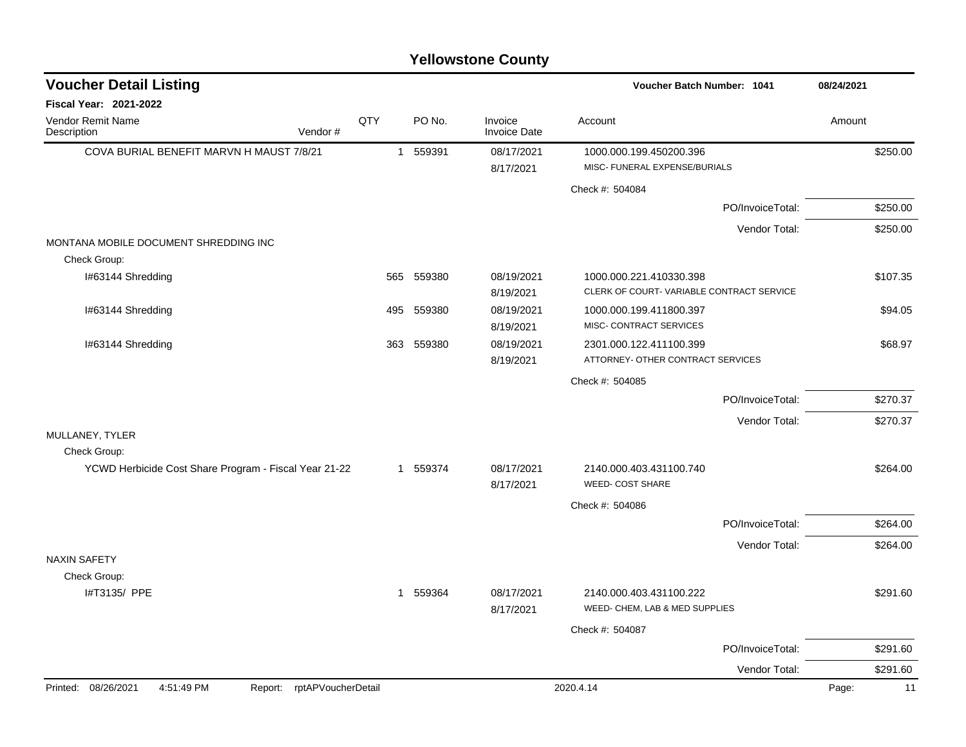| <b>Yellowstone County</b> |  |
|---------------------------|--|
|---------------------------|--|

| <b>Voucher Detail Listing</b>                                   |              |          |                                | <b>Voucher Batch Number: 1041</b>                                   | 08/24/2021  |
|-----------------------------------------------------------------|--------------|----------|--------------------------------|---------------------------------------------------------------------|-------------|
| <b>Fiscal Year: 2021-2022</b>                                   |              |          |                                |                                                                     |             |
| Vendor Remit Name<br>Description<br>Vendor#                     | QTY          | PO No.   | Invoice<br><b>Invoice Date</b> | Account                                                             | Amount      |
| COVA BURIAL BENEFIT MARVN H MAUST 7/8/21                        | $\mathbf{1}$ | 559391   | 08/17/2021<br>8/17/2021        | 1000.000.199.450200.396<br>MISC- FUNERAL EXPENSE/BURIALS            | \$250.00    |
|                                                                 |              |          |                                | Check #: 504084                                                     |             |
|                                                                 |              |          |                                | PO/InvoiceTotal:                                                    | \$250.00    |
|                                                                 |              |          |                                | Vendor Total:                                                       | \$250.00    |
| MONTANA MOBILE DOCUMENT SHREDDING INC                           |              |          |                                |                                                                     |             |
| Check Group:                                                    |              |          |                                |                                                                     |             |
| I#63144 Shredding                                               | 565          | 559380   | 08/19/2021<br>8/19/2021        | 1000.000.221.410330.398<br>CLERK OF COURT-VARIABLE CONTRACT SERVICE | \$107.35    |
| I#63144 Shredding                                               | 495          | 559380   | 08/19/2021<br>8/19/2021        | 1000.000.199.411800.397<br>MISC- CONTRACT SERVICES                  | \$94.05     |
| I#63144 Shredding                                               | 363          | 559380   | 08/19/2021<br>8/19/2021        | 2301.000.122.411100.399<br>ATTORNEY- OTHER CONTRACT SERVICES        | \$68.97     |
|                                                                 |              |          |                                | Check #: 504085                                                     |             |
|                                                                 |              |          |                                | PO/InvoiceTotal:                                                    | \$270.37    |
|                                                                 |              |          |                                | Vendor Total:                                                       | \$270.37    |
| MULLANEY, TYLER                                                 |              |          |                                |                                                                     |             |
| Check Group:                                                    |              |          |                                |                                                                     |             |
| YCWD Herbicide Cost Share Program - Fiscal Year 21-22           |              | 1 559374 | 08/17/2021<br>8/17/2021        | 2140.000.403.431100.740<br><b>WEED- COST SHARE</b>                  | \$264.00    |
|                                                                 |              |          |                                | Check #: 504086                                                     |             |
|                                                                 |              |          |                                | PO/InvoiceTotal:                                                    | \$264.00    |
|                                                                 |              |          |                                | Vendor Total:                                                       | \$264.00    |
| <b>NAXIN SAFETY</b>                                             |              |          |                                |                                                                     |             |
| Check Group:                                                    |              |          |                                |                                                                     |             |
| I#T3135/ PPE                                                    |              | 1 559364 | 08/17/2021<br>8/17/2021        | 2140.000.403.431100.222<br>WEED- CHEM, LAB & MED SUPPLIES           | \$291.60    |
|                                                                 |              |          |                                | Check #: 504087                                                     |             |
|                                                                 |              |          |                                | PO/InvoiceTotal:                                                    | \$291.60    |
|                                                                 |              |          |                                | Vendor Total:                                                       | \$291.60    |
| Printed: 08/26/2021<br>4:51:49 PM<br>Report: rptAPVoucherDetail |              |          |                                | 2020.4.14                                                           | Page:<br>11 |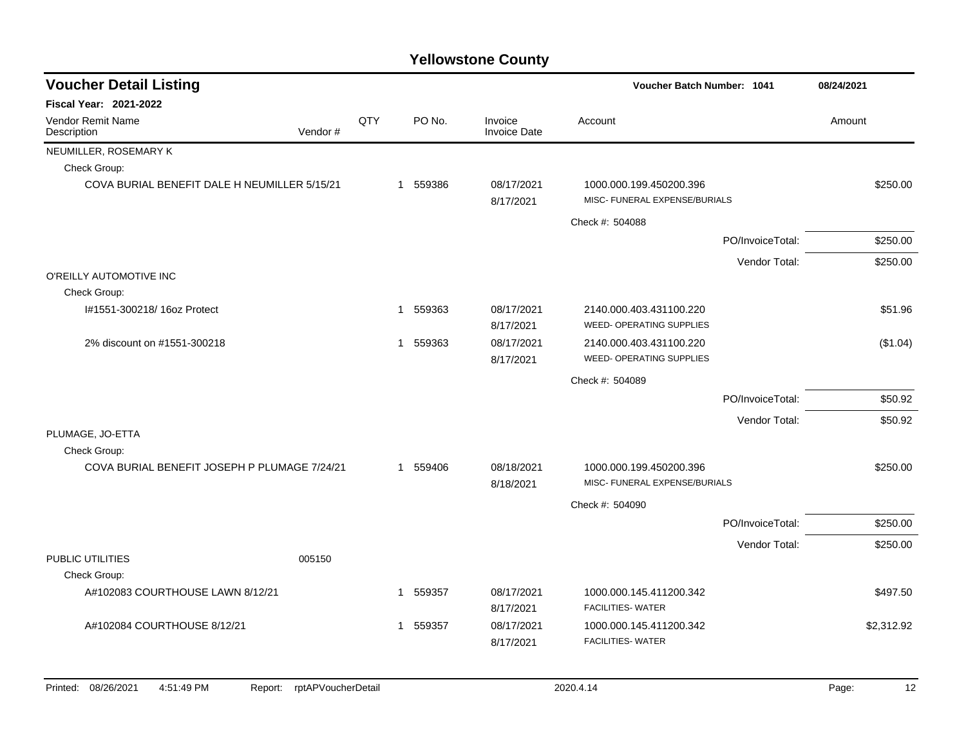| <b>Fiscal Year: 2021-2022</b><br>QTY<br>PO No.<br><b>Vendor Remit Name</b><br>Invoice<br>Account<br>Description<br>Vendor#<br><b>Invoice Date</b><br>NEUMILLER, ROSEMARY K<br>Check Group:<br>COVA BURIAL BENEFIT DALE H NEUMILLER 5/15/21<br>1 559386<br>08/17/2021<br>1000.000.199.450200.396 | Amount      |
|-------------------------------------------------------------------------------------------------------------------------------------------------------------------------------------------------------------------------------------------------------------------------------------------------|-------------|
|                                                                                                                                                                                                                                                                                                 |             |
|                                                                                                                                                                                                                                                                                                 |             |
|                                                                                                                                                                                                                                                                                                 |             |
|                                                                                                                                                                                                                                                                                                 |             |
| MISC- FUNERAL EXPENSE/BURIALS<br>8/17/2021                                                                                                                                                                                                                                                      | \$250.00    |
| Check #: 504088                                                                                                                                                                                                                                                                                 |             |
| PO/InvoiceTotal:                                                                                                                                                                                                                                                                                | \$250.00    |
| Vendor Total:                                                                                                                                                                                                                                                                                   | \$250.00    |
| O'REILLY AUTOMOTIVE INC                                                                                                                                                                                                                                                                         |             |
| Check Group:                                                                                                                                                                                                                                                                                    |             |
| I#1551-300218/ 16oz Protect<br>1 559363<br>08/17/2021<br>2140.000.403.431100.220<br><b>WEED- OPERATING SUPPLIES</b><br>8/17/2021                                                                                                                                                                | \$51.96     |
| 08/17/2021<br>2% discount on #1551-300218<br>559363<br>2140.000.403.431100.220<br>1                                                                                                                                                                                                             | (\$1.04)    |
| <b>WEED- OPERATING SUPPLIES</b><br>8/17/2021                                                                                                                                                                                                                                                    |             |
| Check #: 504089                                                                                                                                                                                                                                                                                 |             |
| PO/InvoiceTotal:                                                                                                                                                                                                                                                                                | \$50.92     |
| Vendor Total:                                                                                                                                                                                                                                                                                   | \$50.92     |
| PLUMAGE, JO-ETTA                                                                                                                                                                                                                                                                                |             |
| Check Group:                                                                                                                                                                                                                                                                                    |             |
| COVA BURIAL BENEFIT JOSEPH P PLUMAGE 7/24/21<br>559406<br>08/18/2021<br>1000.000.199.450200.396<br>1<br>MISC- FUNERAL EXPENSE/BURIALS                                                                                                                                                           | \$250.00    |
| 8/18/2021                                                                                                                                                                                                                                                                                       |             |
| Check #: 504090                                                                                                                                                                                                                                                                                 |             |
| PO/InvoiceTotal:                                                                                                                                                                                                                                                                                | \$250.00    |
| Vendor Total:<br>005150                                                                                                                                                                                                                                                                         | \$250.00    |
| PUBLIC UTILITIES                                                                                                                                                                                                                                                                                |             |
| Check Group:                                                                                                                                                                                                                                                                                    |             |
| A#102083 COURTHOUSE LAWN 8/12/21<br>1 559357<br>08/17/2021<br>1000.000.145.411200.342<br><b>FACILITIES- WATER</b><br>8/17/2021                                                                                                                                                                  | \$497.50    |
| A#102084 COURTHOUSE 8/12/21<br>559357<br>08/17/2021<br>1000.000.145.411200.342<br>1<br><b>FACILITIES- WATER</b><br>8/17/2021                                                                                                                                                                    | \$2,312.92  |
| Printed: 08/26/2021<br>4:51:49 PM<br>rptAPVoucherDetail<br>2020.4.14<br>Report:                                                                                                                                                                                                                 | 12<br>Page: |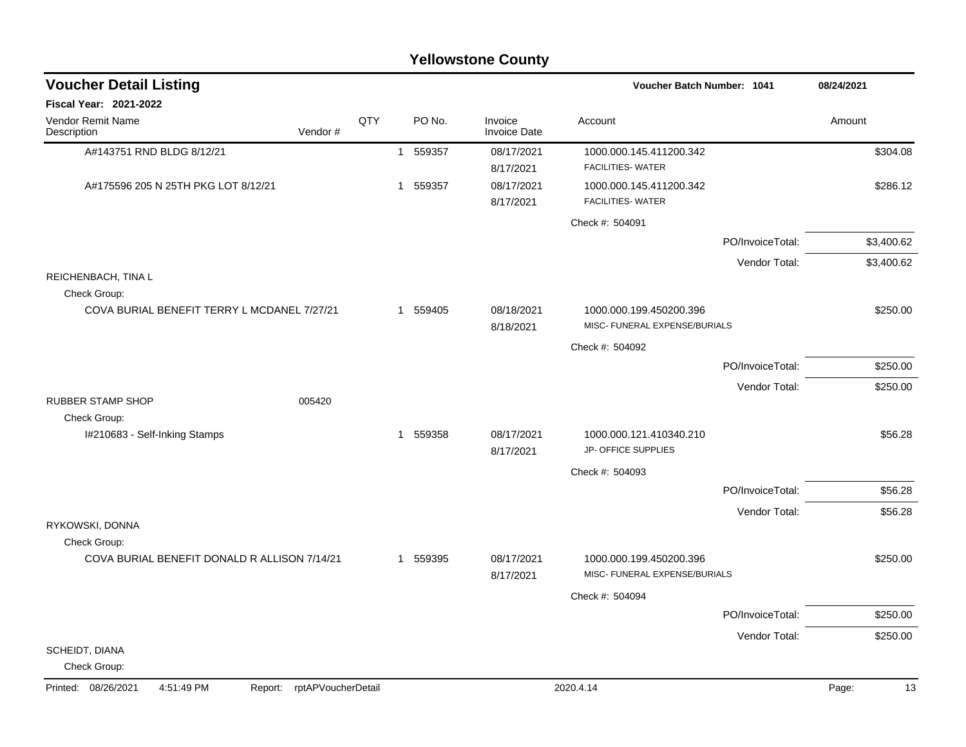| <b>Voucher Detail Listing</b><br>Voucher Batch Number: 1041<br><b>Fiscal Year: 2021-2022</b><br>QTY<br>PO No.<br>Vendor Remit Name<br>Invoice<br>Account<br>Description<br>Vendor#<br><b>Invoice Date</b><br>A#143751 RND BLDG 8/12/21<br>08/17/2021<br>559357<br>1000.000.145.411200.342<br>$\mathbf{1}$<br><b>FACILITIES- WATER</b><br>8/17/2021<br>A#175596 205 N 25TH PKG LOT 8/12/21<br>559357<br>08/17/2021<br>1000.000.145.411200.342<br>-1 | 08/24/2021<br>Amount<br>\$304.08<br>\$286.12 |
|----------------------------------------------------------------------------------------------------------------------------------------------------------------------------------------------------------------------------------------------------------------------------------------------------------------------------------------------------------------------------------------------------------------------------------------------------|----------------------------------------------|
|                                                                                                                                                                                                                                                                                                                                                                                                                                                    |                                              |
|                                                                                                                                                                                                                                                                                                                                                                                                                                                    |                                              |
|                                                                                                                                                                                                                                                                                                                                                                                                                                                    |                                              |
|                                                                                                                                                                                                                                                                                                                                                                                                                                                    |                                              |
| <b>FACILITIES- WATER</b><br>8/17/2021                                                                                                                                                                                                                                                                                                                                                                                                              |                                              |
| Check #: 504091                                                                                                                                                                                                                                                                                                                                                                                                                                    |                                              |
|                                                                                                                                                                                                                                                                                                                                                                                                                                                    | \$3,400.62<br>PO/InvoiceTotal:               |
|                                                                                                                                                                                                                                                                                                                                                                                                                                                    | Vendor Total:<br>\$3,400.62                  |
| REICHENBACH, TINA L<br>Check Group:                                                                                                                                                                                                                                                                                                                                                                                                                |                                              |
| COVA BURIAL BENEFIT TERRY L MCDANEL 7/27/21<br>559405<br>08/18/2021<br>1000.000.199.450200.396<br>-1<br>MISC- FUNERAL EXPENSE/BURIALS                                                                                                                                                                                                                                                                                                              | \$250.00                                     |
| 8/18/2021<br>Check #: 504092                                                                                                                                                                                                                                                                                                                                                                                                                       |                                              |
|                                                                                                                                                                                                                                                                                                                                                                                                                                                    | \$250.00<br>PO/InvoiceTotal:                 |
|                                                                                                                                                                                                                                                                                                                                                                                                                                                    | Vendor Total:<br>\$250.00                    |
| <b>RUBBER STAMP SHOP</b><br>005420                                                                                                                                                                                                                                                                                                                                                                                                                 |                                              |
| Check Group:                                                                                                                                                                                                                                                                                                                                                                                                                                       |                                              |
| 559358<br>08/17/2021<br>I#210683 - Self-Inking Stamps<br>1000.000.121.410340.210<br>1<br>JP- OFFICE SUPPLIES<br>8/17/2021                                                                                                                                                                                                                                                                                                                          | \$56.28                                      |
| Check #: 504093                                                                                                                                                                                                                                                                                                                                                                                                                                    |                                              |
|                                                                                                                                                                                                                                                                                                                                                                                                                                                    | \$56.28<br>PO/InvoiceTotal:                  |
|                                                                                                                                                                                                                                                                                                                                                                                                                                                    | Vendor Total:<br>\$56.28                     |
| RYKOWSKI, DONNA<br>Check Group:                                                                                                                                                                                                                                                                                                                                                                                                                    |                                              |
| COVA BURIAL BENEFIT DONALD R ALLISON 7/14/21<br>559395<br>08/17/2021<br>1000.000.199.450200.396<br>-1<br>MISC- FUNERAL EXPENSE/BURIALS<br>8/17/2021                                                                                                                                                                                                                                                                                                | \$250.00                                     |
| Check #: 504094                                                                                                                                                                                                                                                                                                                                                                                                                                    |                                              |
|                                                                                                                                                                                                                                                                                                                                                                                                                                                    | \$250.00<br>PO/InvoiceTotal:                 |
|                                                                                                                                                                                                                                                                                                                                                                                                                                                    | \$250.00<br>Vendor Total:                    |
| SCHEIDT, DIANA<br>Check Group:                                                                                                                                                                                                                                                                                                                                                                                                                     |                                              |
| 2020.4.14<br>Printed: 08/26/2021<br>4:51:49 PM<br>rptAPVoucherDetail<br>Report:                                                                                                                                                                                                                                                                                                                                                                    | Page:<br>13                                  |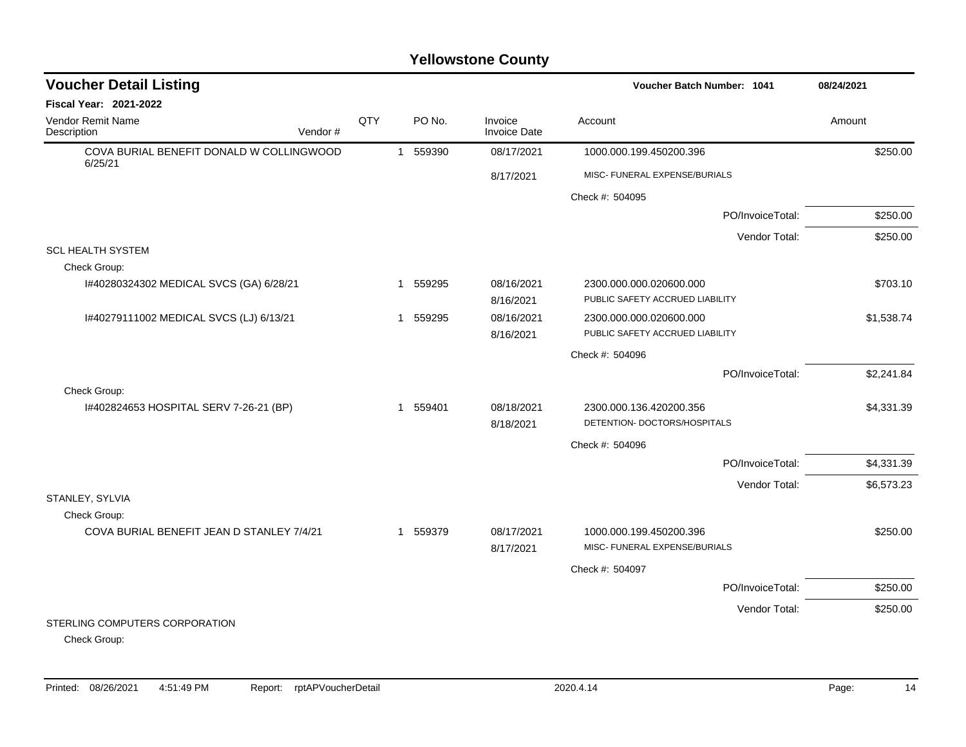| <b>Voucher Detail Listing</b>                       |     |   |          |                                | <b>Voucher Batch Number: 1041</b>                          | 08/24/2021 |
|-----------------------------------------------------|-----|---|----------|--------------------------------|------------------------------------------------------------|------------|
| Fiscal Year: 2021-2022                              |     |   |          |                                |                                                            |            |
| Vendor Remit Name<br>Description<br>Vendor#         | QTY |   | PO No.   | Invoice<br><b>Invoice Date</b> | Account                                                    | Amount     |
| COVA BURIAL BENEFIT DONALD W COLLINGWOOD<br>6/25/21 |     |   | 1 559390 | 08/17/2021                     | 1000.000.199.450200.396                                    | \$250.00   |
|                                                     |     |   |          | 8/17/2021                      | MISC- FUNERAL EXPENSE/BURIALS                              |            |
|                                                     |     |   |          |                                | Check #: 504095                                            |            |
|                                                     |     |   |          |                                | PO/InvoiceTotal:                                           | \$250.00   |
|                                                     |     |   |          |                                | Vendor Total:                                              | \$250.00   |
| <b>SCL HEALTH SYSTEM</b>                            |     |   |          |                                |                                                            |            |
| Check Group:                                        |     |   |          |                                |                                                            |            |
| I#40280324302 MEDICAL SVCS (GA) 6/28/21             |     |   | 1 559295 | 08/16/2021<br>8/16/2021        | 2300.000.000.020600.000<br>PUBLIC SAFETY ACCRUED LIABILITY | \$703.10   |
| I#40279111002 MEDICAL SVCS (LJ) 6/13/21             |     |   | 1 559295 | 08/16/2021                     | 2300.000.000.020600.000                                    | \$1,538.74 |
|                                                     |     |   |          | 8/16/2021                      | PUBLIC SAFETY ACCRUED LIABILITY                            |            |
|                                                     |     |   |          |                                | Check #: 504096                                            |            |
|                                                     |     |   |          |                                | PO/InvoiceTotal:                                           | \$2,241.84 |
| Check Group:                                        |     |   |          |                                |                                                            |            |
| I#402824653 HOSPITAL SERV 7-26-21 (BP)              |     | 1 | 559401   | 08/18/2021<br>8/18/2021        | 2300.000.136.420200.356<br>DETENTION- DOCTORS/HOSPITALS    | \$4,331.39 |
|                                                     |     |   |          |                                | Check #: 504096                                            |            |
|                                                     |     |   |          |                                | PO/InvoiceTotal:                                           | \$4,331.39 |
|                                                     |     |   |          |                                | Vendor Total:                                              | \$6,573.23 |
| STANLEY, SYLVIA                                     |     |   |          |                                |                                                            |            |
| Check Group:                                        |     |   |          |                                |                                                            |            |
| COVA BURIAL BENEFIT JEAN D STANLEY 7/4/21           |     |   | 1 559379 | 08/17/2021                     | 1000.000.199.450200.396                                    | \$250.00   |
|                                                     |     |   |          | 8/17/2021                      | MISC- FUNERAL EXPENSE/BURIALS                              |            |
|                                                     |     |   |          |                                | Check #: 504097                                            |            |
|                                                     |     |   |          |                                | PO/InvoiceTotal:                                           | \$250.00   |
|                                                     |     |   |          |                                | Vendor Total:                                              | \$250.00   |
| STERLING COMPUTERS CORPORATION<br>Check Group:      |     |   |          |                                |                                                            |            |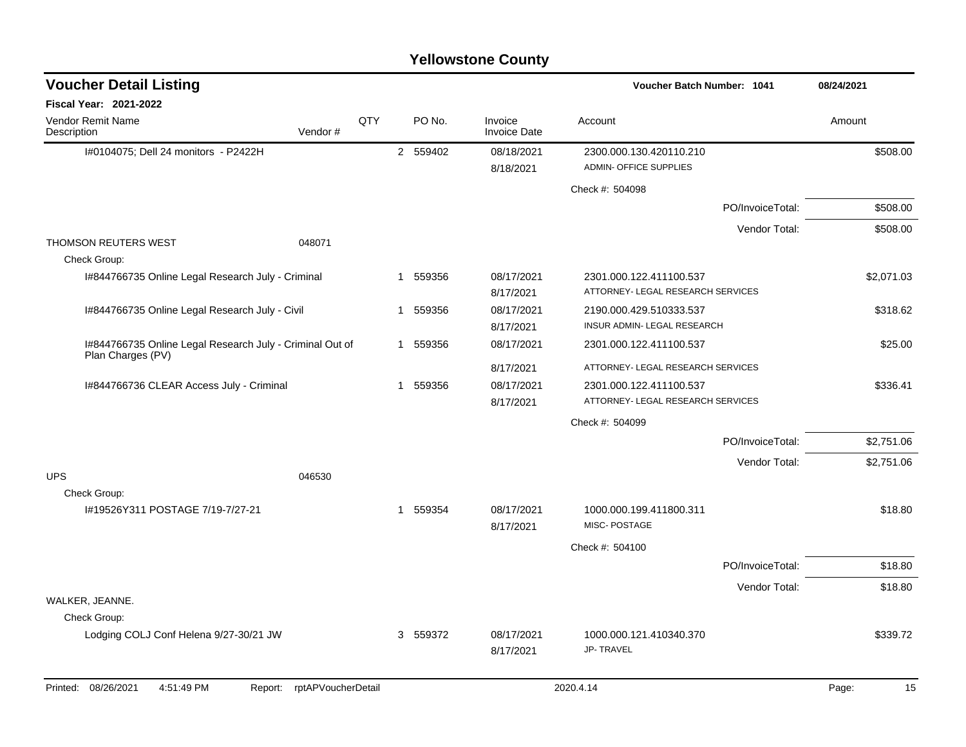| <b>Voucher Detail Listing</b>                     |                                                                                    |     |                         |          |                                | <b>Voucher Batch Number: 1041</b>                            |                  | 08/24/2021 |            |
|---------------------------------------------------|------------------------------------------------------------------------------------|-----|-------------------------|----------|--------------------------------|--------------------------------------------------------------|------------------|------------|------------|
| <b>Fiscal Year: 2021-2022</b>                     |                                                                                    |     |                         |          |                                |                                                              |                  |            |            |
| Vendor Remit Name<br>Description                  | Vendor#                                                                            | QTY |                         | PO No.   | Invoice<br><b>Invoice Date</b> | Account                                                      |                  | Amount     |            |
| I#0104075; Dell 24 monitors - P2422H              |                                                                                    |     |                         | 2 559402 | 08/18/2021<br>8/18/2021        | 2300.000.130.420110.210<br><b>ADMIN- OFFICE SUPPLIES</b>     |                  |            | \$508.00   |
|                                                   |                                                                                    |     |                         |          |                                | Check #: 504098                                              |                  |            |            |
|                                                   |                                                                                    |     |                         |          |                                |                                                              | PO/InvoiceTotal: |            | \$508.00   |
|                                                   |                                                                                    |     |                         |          |                                |                                                              | Vendor Total:    |            | \$508.00   |
| <b>THOMSON REUTERS WEST</b><br>Check Group:       | 048071                                                                             |     |                         |          |                                |                                                              |                  |            |            |
| I#844766735 Online Legal Research July - Criminal |                                                                                    |     | -1                      | 559356   | 08/17/2021<br>8/17/2021        | 2301.000.122.411100.537<br>ATTORNEY- LEGAL RESEARCH SERVICES |                  |            | \$2,071.03 |
| I#844766735 Online Legal Research July - Civil    |                                                                                    |     |                         | 1 559356 | 08/17/2021<br>8/17/2021        | 2190.000.429.510333.537<br>INSUR ADMIN- LEGAL RESEARCH       |                  |            | \$318.62   |
|                                                   | I#844766735 Online Legal Research July - Criminal Out of<br>1 559356<br>08/17/2021 |     | 2301.000.122.411100.537 |          |                                | \$25.00                                                      |                  |            |            |
| Plan Charges (PV)                                 |                                                                                    |     |                         |          | 8/17/2021                      | ATTORNEY- LEGAL RESEARCH SERVICES                            |                  |            |            |
| I#844766736 CLEAR Access July - Criminal          |                                                                                    |     |                         | 1 559356 | 08/17/2021                     | 2301.000.122.411100.537                                      |                  |            | \$336.41   |
|                                                   |                                                                                    |     |                         |          | 8/17/2021                      | ATTORNEY- LEGAL RESEARCH SERVICES                            |                  |            |            |
|                                                   |                                                                                    |     |                         |          |                                | Check #: 504099                                              |                  |            |            |
|                                                   |                                                                                    |     |                         |          |                                |                                                              | PO/InvoiceTotal: |            | \$2,751.06 |
|                                                   |                                                                                    |     |                         |          |                                |                                                              | Vendor Total:    |            | \$2,751.06 |
| <b>UPS</b><br>Check Group:                        | 046530                                                                             |     |                         |          |                                |                                                              |                  |            |            |
| I#19526Y311 POSTAGE 7/19-7/27-21                  |                                                                                    |     |                         | 1 559354 | 08/17/2021<br>8/17/2021        | 1000.000.199.411800.311<br>MISC-POSTAGE                      |                  |            | \$18.80    |
|                                                   |                                                                                    |     |                         |          |                                | Check #: 504100                                              |                  |            |            |
|                                                   |                                                                                    |     |                         |          |                                |                                                              | PO/InvoiceTotal: |            | \$18.80    |
|                                                   |                                                                                    |     |                         |          |                                |                                                              | Vendor Total:    |            | \$18.80    |
| WALKER, JEANNE.<br>Check Group:                   |                                                                                    |     |                         |          |                                |                                                              |                  |            |            |
| Lodging COLJ Conf Helena 9/27-30/21 JW            |                                                                                    |     |                         | 3 559372 | 08/17/2021<br>8/17/2021        | 1000.000.121.410340.370<br><b>JP-TRAVEL</b>                  |                  |            | \$339.72   |
| Printed: 08/26/2021<br>4:51:49 PM                 | Report: rptAPVoucherDetail                                                         |     |                         |          |                                | 2020.4.14                                                    |                  | Page:      | 15         |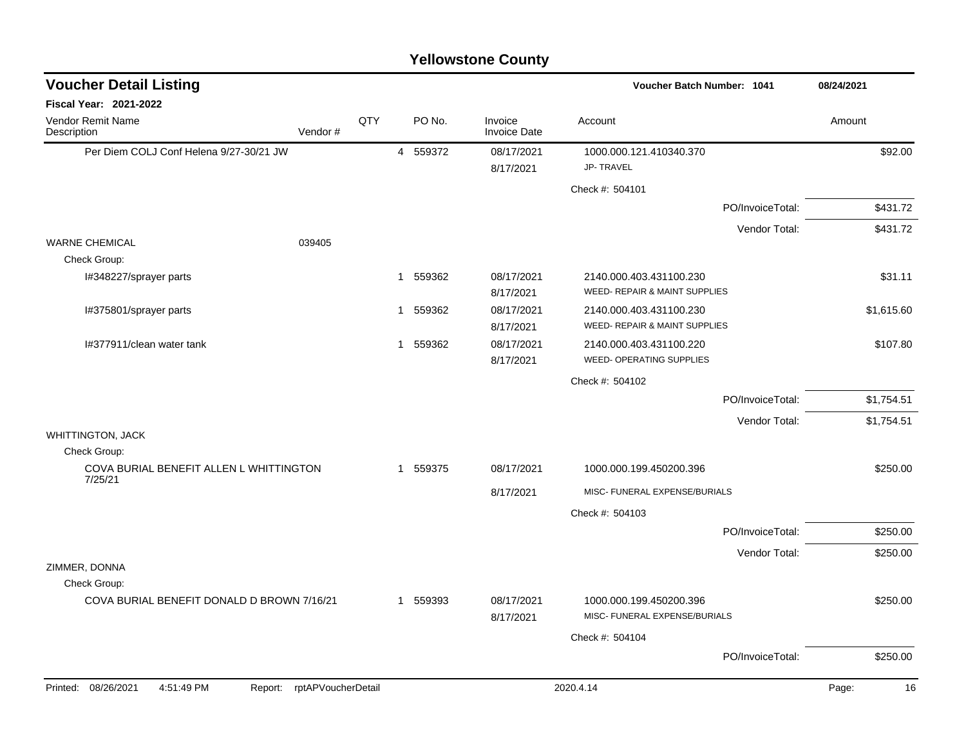| <b>Voucher Detail Listing</b>                      |                    |     |              |        |                                | Voucher Batch Number: 1041                               |                  | 08/24/2021  |
|----------------------------------------------------|--------------------|-----|--------------|--------|--------------------------------|----------------------------------------------------------|------------------|-------------|
| Fiscal Year: 2021-2022                             |                    |     |              |        |                                |                                                          |                  |             |
| <b>Vendor Remit Name</b><br>Description            | Vendor#            | QTY |              | PO No. | Invoice<br><b>Invoice Date</b> | Account                                                  |                  | Amount      |
| Per Diem COLJ Conf Helena 9/27-30/21 JW            |                    |     | 4 559372     |        | 08/17/2021<br>8/17/2021        | 1000.000.121.410340.370<br><b>JP-TRAVEL</b>              |                  | \$92.00     |
|                                                    |                    |     |              |        |                                | Check #: 504101                                          |                  |             |
|                                                    |                    |     |              |        |                                |                                                          | PO/InvoiceTotal: | \$431.72    |
|                                                    |                    |     |              |        |                                |                                                          | Vendor Total:    | \$431.72    |
| <b>WARNE CHEMICAL</b>                              | 039405             |     |              |        |                                |                                                          |                  |             |
| Check Group:                                       |                    |     |              |        |                                |                                                          |                  |             |
| I#348227/sprayer parts                             |                    |     | $\mathbf 1$  | 559362 | 08/17/2021                     | 2140.000.403.431100.230<br>WEED- REPAIR & MAINT SUPPLIES |                  | \$31.11     |
|                                                    |                    |     |              |        | 8/17/2021                      |                                                          |                  |             |
| I#375801/sprayer parts                             |                    |     | 1            | 559362 | 08/17/2021<br>8/17/2021        | 2140.000.403.431100.230<br>WEED- REPAIR & MAINT SUPPLIES |                  | \$1,615.60  |
| I#377911/clean water tank                          |                    |     | 1            | 559362 | 08/17/2021                     | 2140.000.403.431100.220                                  |                  | \$107.80    |
|                                                    |                    |     |              |        | 8/17/2021                      | WEED- OPERATING SUPPLIES                                 |                  |             |
|                                                    |                    |     |              |        |                                | Check #: 504102                                          |                  |             |
|                                                    |                    |     |              |        |                                |                                                          | PO/InvoiceTotal: | \$1,754.51  |
|                                                    |                    |     |              |        |                                |                                                          | Vendor Total:    | \$1,754.51  |
| <b>WHITTINGTON, JACK</b>                           |                    |     |              |        |                                |                                                          |                  |             |
| Check Group:                                       |                    |     |              |        |                                |                                                          |                  |             |
| COVA BURIAL BENEFIT ALLEN L WHITTINGTON<br>7/25/21 |                    |     | $\mathbf{1}$ | 559375 | 08/17/2021                     | 1000.000.199.450200.396                                  |                  | \$250.00    |
|                                                    |                    |     |              |        | 8/17/2021                      | MISC- FUNERAL EXPENSE/BURIALS                            |                  |             |
|                                                    |                    |     |              |        |                                | Check #: 504103                                          |                  |             |
|                                                    |                    |     |              |        |                                |                                                          | PO/InvoiceTotal: | \$250.00    |
|                                                    |                    |     |              |        |                                |                                                          | Vendor Total:    | \$250.00    |
| ZIMMER, DONNA                                      |                    |     |              |        |                                |                                                          |                  |             |
| Check Group:                                       |                    |     |              |        |                                |                                                          |                  |             |
| COVA BURIAL BENEFIT DONALD D BROWN 7/16/21         |                    |     | 1            | 559393 | 08/17/2021<br>8/17/2021        | 1000.000.199.450200.396<br>MISC- FUNERAL EXPENSE/BURIALS |                  | \$250.00    |
|                                                    |                    |     |              |        |                                | Check #: 504104                                          |                  |             |
|                                                    |                    |     |              |        |                                |                                                          | PO/InvoiceTotal: | \$250.00    |
| Printed: 08/26/2021<br>4:51:49 PM<br>Report:       | rptAPVoucherDetail |     |              |        |                                | 2020.4.14                                                |                  | Page:<br>16 |
|                                                    |                    |     |              |        |                                |                                                          |                  |             |